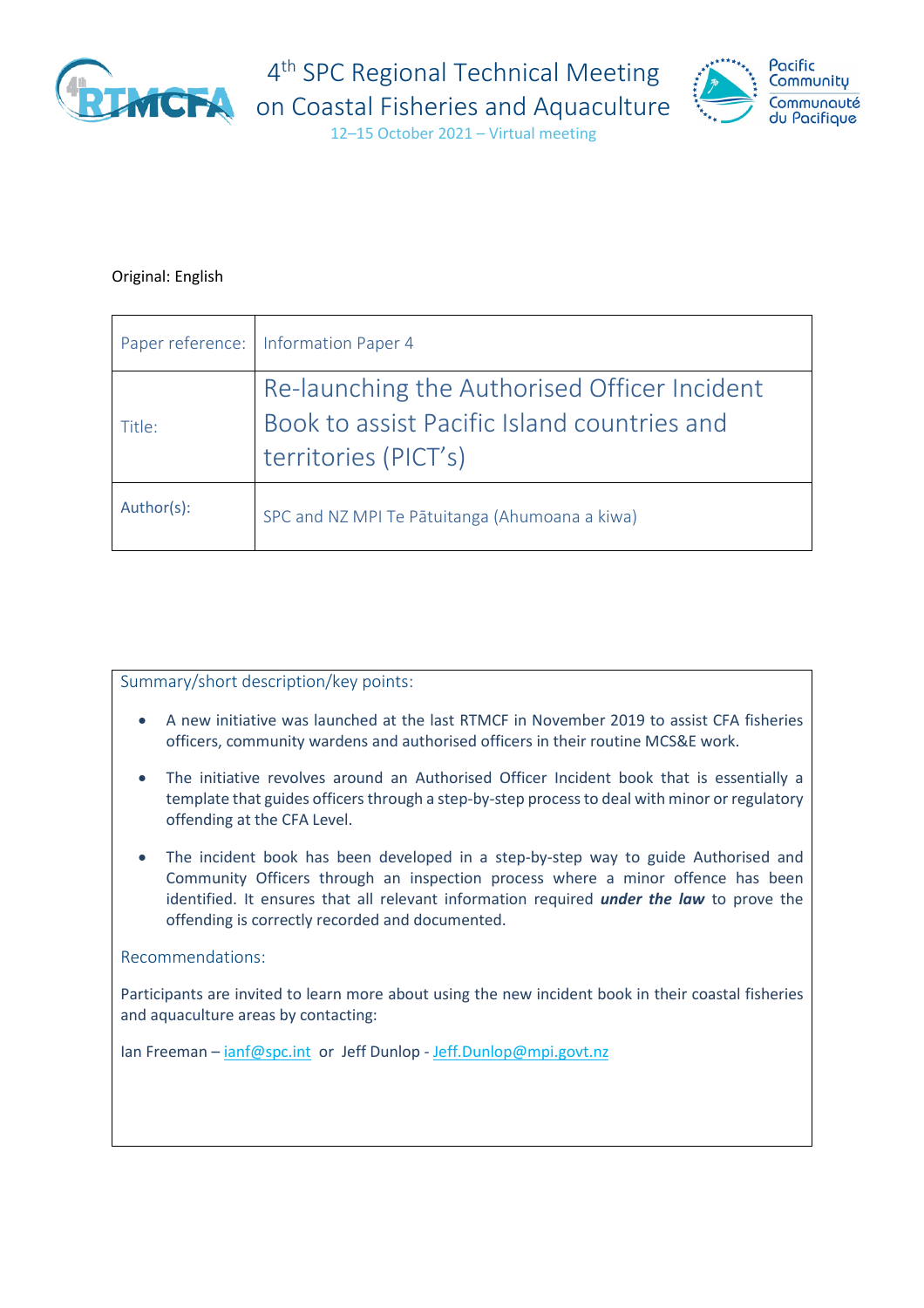

4<sup>th</sup> SPC Regional Technical Meeting



12–15 October 2021 – Virtual meeting

#### Original: English

|            | Paper reference:   Information Paper 4                                                                              |
|------------|---------------------------------------------------------------------------------------------------------------------|
| Title:     | Re-launching the Authorised Officer Incident<br>Book to assist Pacific Island countries and<br>territories (PICT's) |
| Author(s): | SPC and NZ MPI Te Pātuitanga (Ahumoana a kiwa)                                                                      |

Summary/short description/key points:

- A new initiative was launched at the last RTMCF in November 2019 to assist CFA fisheries officers, community wardens and authorised officers in their routine MCS&E work.
- The initiative revolves around an Authorised Officer Incident book that is essentially a template that guides officers through a step-by-step process to deal with minor or regulatory offending at the CFA Level.
- The incident book has been developed in a step-by-step way to guide Authorised and Community Officers through an inspection process where a minor offence has been identified. It ensures that all relevant information required *under the law* to prove the offending is correctly recorded and documented.

Recommendations:

Participants are invited to learn more about using the new incident book in their coastal fisheries and aquaculture areas by contacting:

Ian Freeman - [ianf@spc.int](mailto:ianf@spc.int) or Jeff Dunlop - Jeff.Dunlop@mpi.govt.nz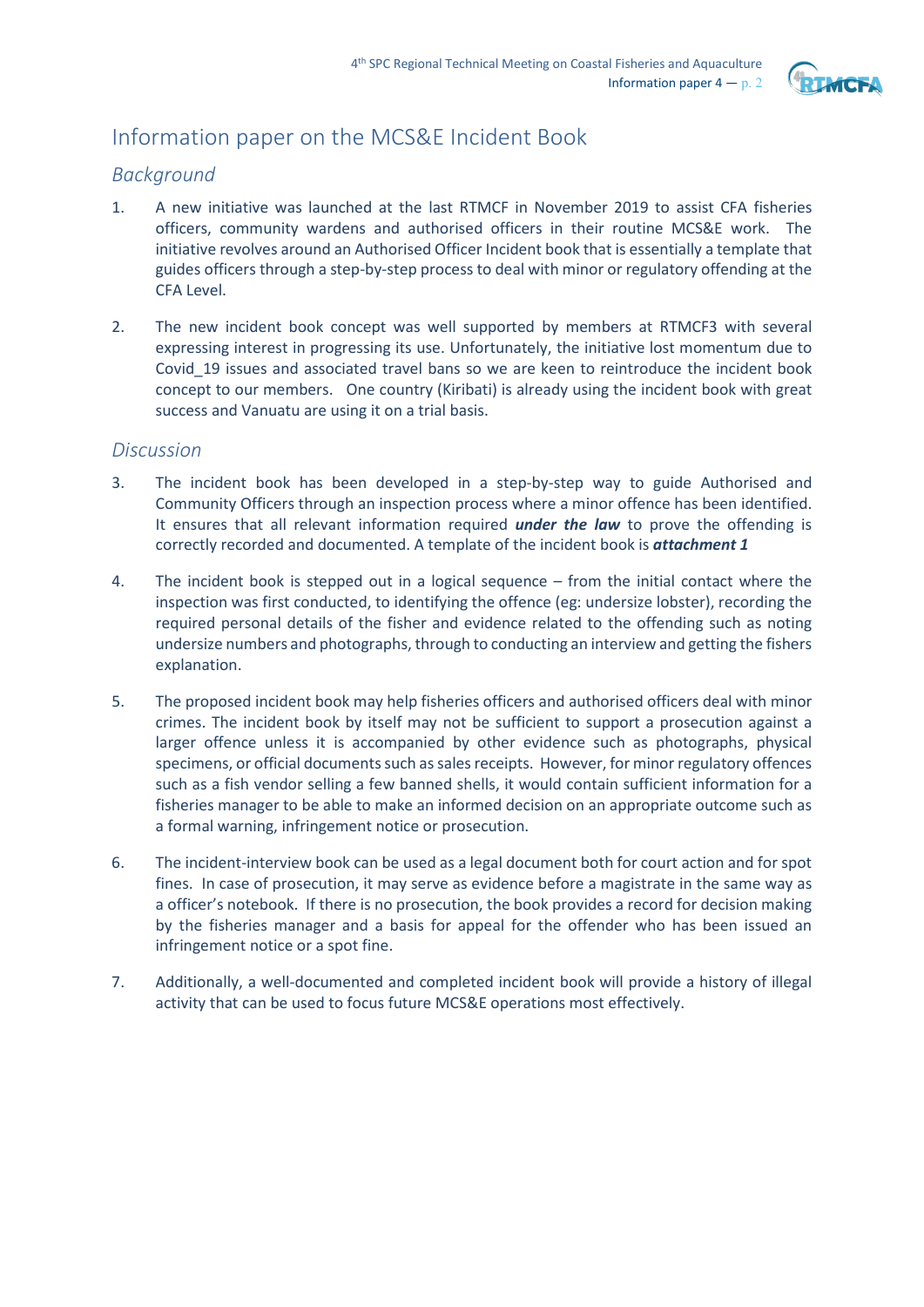

## Information paper on the MCS&E Incident Book

#### *Background*

- 1. A new initiative was launched at the last RTMCF in November 2019 to assist CFA fisheries officers, community wardens and authorised officers in their routine MCS&E work. The initiative revolves around an Authorised Officer Incident book that is essentially a template that guides officers through a step-by-step process to deal with minor or regulatory offending at the CFA Level.
- 2. The new incident book concept was well supported by members at RTMCF3 with several expressing interest in progressing its use. Unfortunately, the initiative lost momentum due to Covid\_19 issues and associated travel bans so we are keen to reintroduce the incident book concept to our members. One country (Kiribati) is already using the incident book with great success and Vanuatu are using it on a trial basis.

#### *Discussion*

- 3. The incident book has been developed in a step-by-step way to guide Authorised and Community Officers through an inspection process where a minor offence has been identified. It ensures that all relevant information required *under the law* to prove the offending is correctly recorded and documented. A template of the incident book is *attachment 1*
- 4. The incident book is stepped out in a logical sequence from the initial contact where the inspection was first conducted, to identifying the offence (eg: undersize lobster), recording the required personal details of the fisher and evidence related to the offending such as noting undersize numbers and photographs, through to conducting an interview and getting the fishers explanation.
- 5. The proposed incident book may help fisheries officers and authorised officers deal with minor crimes. The incident book by itself may not be sufficient to support a prosecution against a larger offence unless it is accompanied by other evidence such as photographs, physical specimens, or official documents such as sales receipts. However, for minor regulatory offences such as a fish vendor selling a few banned shells, it would contain sufficient information for a fisheries manager to be able to make an informed decision on an appropriate outcome such as a formal warning, infringement notice or prosecution.
- 6. The incident-interview book can be used as a legal document both for court action and for spot fines. In case of prosecution, it may serve as evidence before a magistrate in the same way as a officer's notebook. If there is no prosecution, the book provides a record for decision making by the fisheries manager and a basis for appeal for the offender who has been issued an infringement notice or a spot fine.
- 7. Additionally, a well-documented and completed incident book will provide a history of illegal activity that can be used to focus future MCS&E operations most effectively.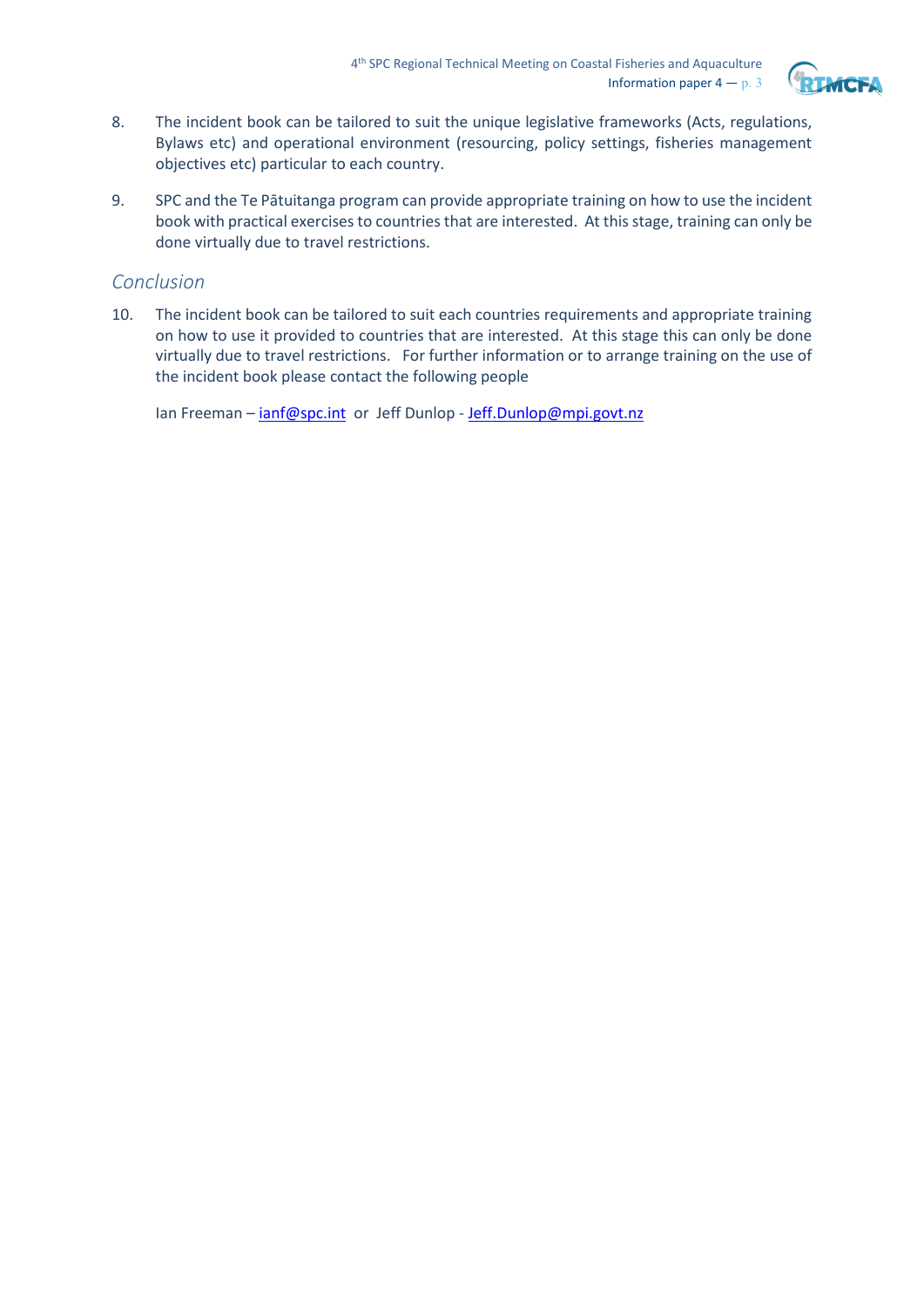

- 8. The incident book can be tailored to suit the unique legislative frameworks (Acts, regulations, Bylaws etc) and operational environment (resourcing, policy settings, fisheries management objectives etc) particular to each country.
- 9. SPC and the Te Pātuitanga program can provide appropriate training on how to use the incident book with practical exercises to countries that are interested. At this stage, training can only be done virtually due to travel restrictions.

#### *Conclusion*

10. The incident book can be tailored to suit each countries requirements and appropriate training on how to use it provided to countries that are interested. At this stage this can only be done virtually due to travel restrictions. For further information or to arrange training on the use of the incident book please contact the following people

Ian Freeman – [ianf@spc.int](mailto:ianf@spc.int) or Jeff Dunlop - Jeff.Dunlop@mpi.govt.nz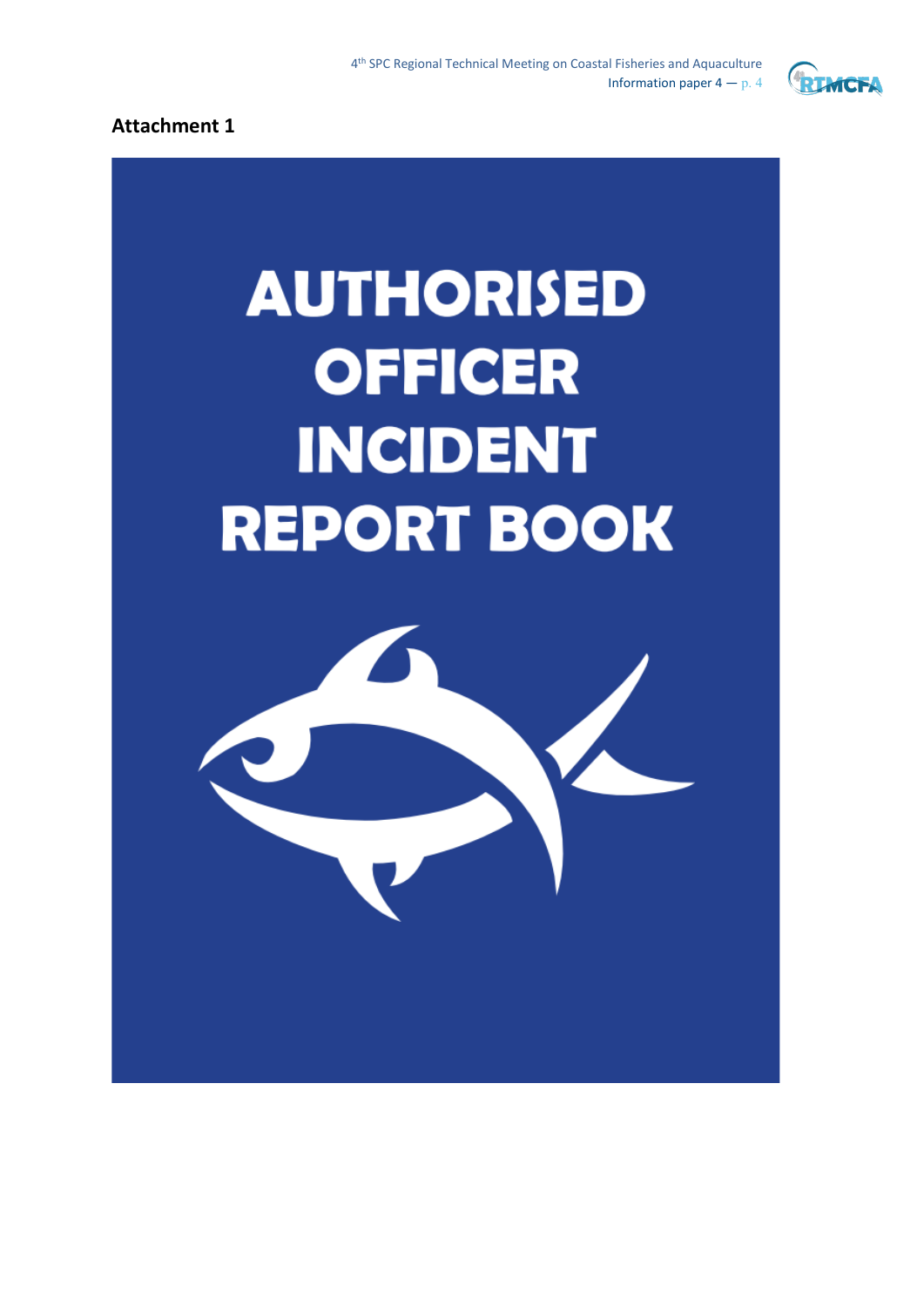

#### **Attachment 1**

# **AUTHORISED OFFICER INCIDENT REPORT BOOK**

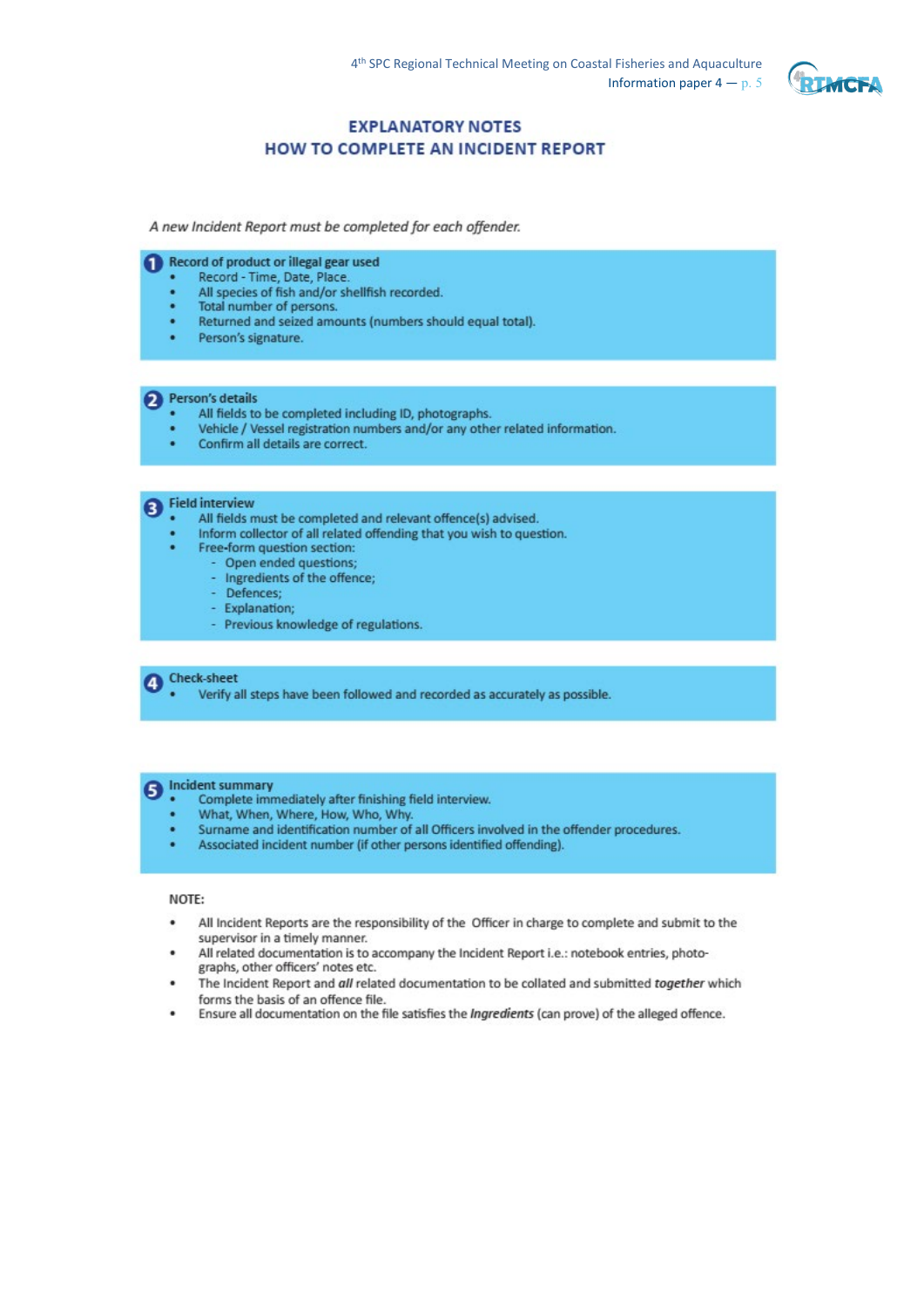

#### **EXPLANATORY NOTES** HOW TO COMPLETE AN INCIDENT REPORT

A new Incident Report must be completed for each offender.

Record of product or illegal gear used

- Record Time, Date, Place.
- All species of fish and/or shellfish recorded.
- Total number of persons.
- Returned and seized amounts (numbers should equal total).
- Person's signature.

#### Person's details

- All fields to be completed including ID, photographs.
- Vehicle / Vessel registration numbers and/or any other related information.
- Confirm all details are correct.

#### Field interview

- All fields must be completed and relevant offence(s) advised.
- Inform collector of all related offending that you wish to question.
	- Free-form question section:
	- Open ended questions;
	- Ingredients of the offence;
	- Defences:
	- Explanation;
	- Previous knowledge of regulations.

#### Check-sheet

Verify all steps have been followed and recorded as accurately as possible.

## **S** Incident summary

- Complete immediately after finishing field interview.
- What, When, Where, How, Who, Why.
- Surname and identification number of all Officers involved in the offender procedures.
- Associated incident number (if other persons identified offending).

#### NOTE:

- All Incident Reports are the responsibility of the Officer in charge to complete and submit to the supervisor in a timely manner.
- All related documentation is to accompany the Incident Report i.e.: notebook entries, photographs, other officers' notes etc.
- The Incident Report and all related documentation to be collated and submitted together which forms the basis of an offence file.
- Ensure all documentation on the file satisfies the Ingredients (can prove) of the alleged offence.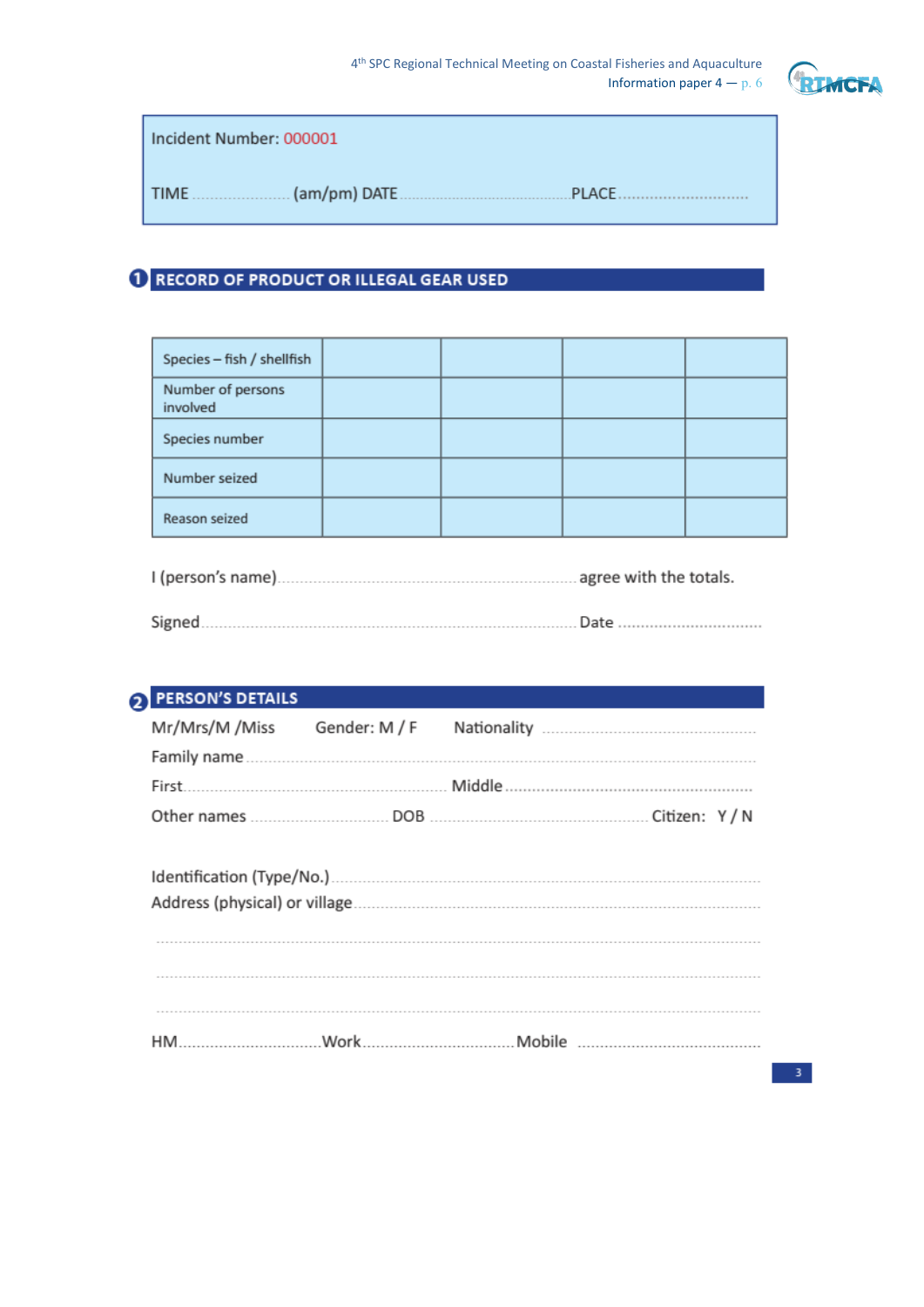

Incident Number: 000001

## 1 RECORD OF PRODUCT OR ILLEGAL GEAR USED

| Species - fish / shellfish    |  |  |
|-------------------------------|--|--|
| Number of persons<br>involved |  |  |
| Species number                |  |  |
| Number seized                 |  |  |
| Reason seized                 |  |  |

## 2 PERSON'S DETAILS

| Mr/Mrs/M /Miss | Gender: M / F |              |
|----------------|---------------|--------------|
|                |               |              |
| First          |               |              |
| Other names    | DOB           | Citizen: Y/N |

| Address (physical) or village. |  |                      |
|--------------------------------|--|----------------------|
|                                |  |                      |
|                                |  |                      |
|                                |  |                      |
| <b>Work</b>                    |  | Mobile <b>Mobile</b> |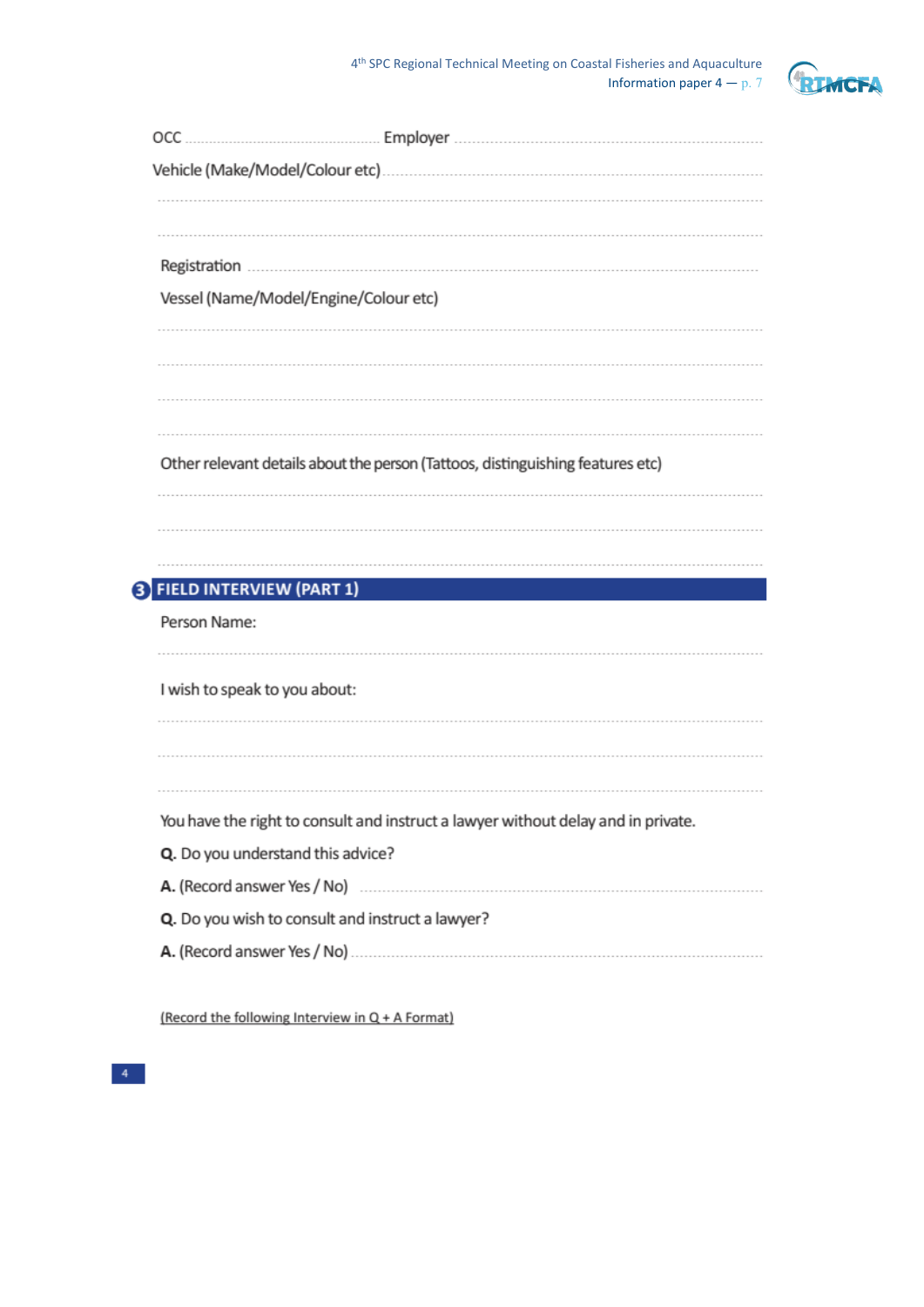

| OCC                                                                               |
|-----------------------------------------------------------------------------------|
|                                                                                   |
|                                                                                   |
| Vessel (Name/Model/Engine/Colour etc)                                             |
|                                                                                   |
| Other relevant details about the person (Tattoos, distinguishing features etc)    |
|                                                                                   |
|                                                                                   |
| <b>FIELD INTERVIEW (PART 1)</b>                                                   |
| Person Name:<br>                                                                  |
| I wish to speak to you about:                                                     |
|                                                                                   |
| You have the right to consult and instruct a lawyer without delay and in private. |
| Q. Do you understand this advice?                                                 |
| A. (Record answer Yes / No) <b>contract and the Contract A.</b> (Record answer    |
| Q. Do you wish to consult and instruct a lawyer?                                  |
|                                                                                   |
|                                                                                   |

(Record the following Interview in Q + A Format)

 $-4$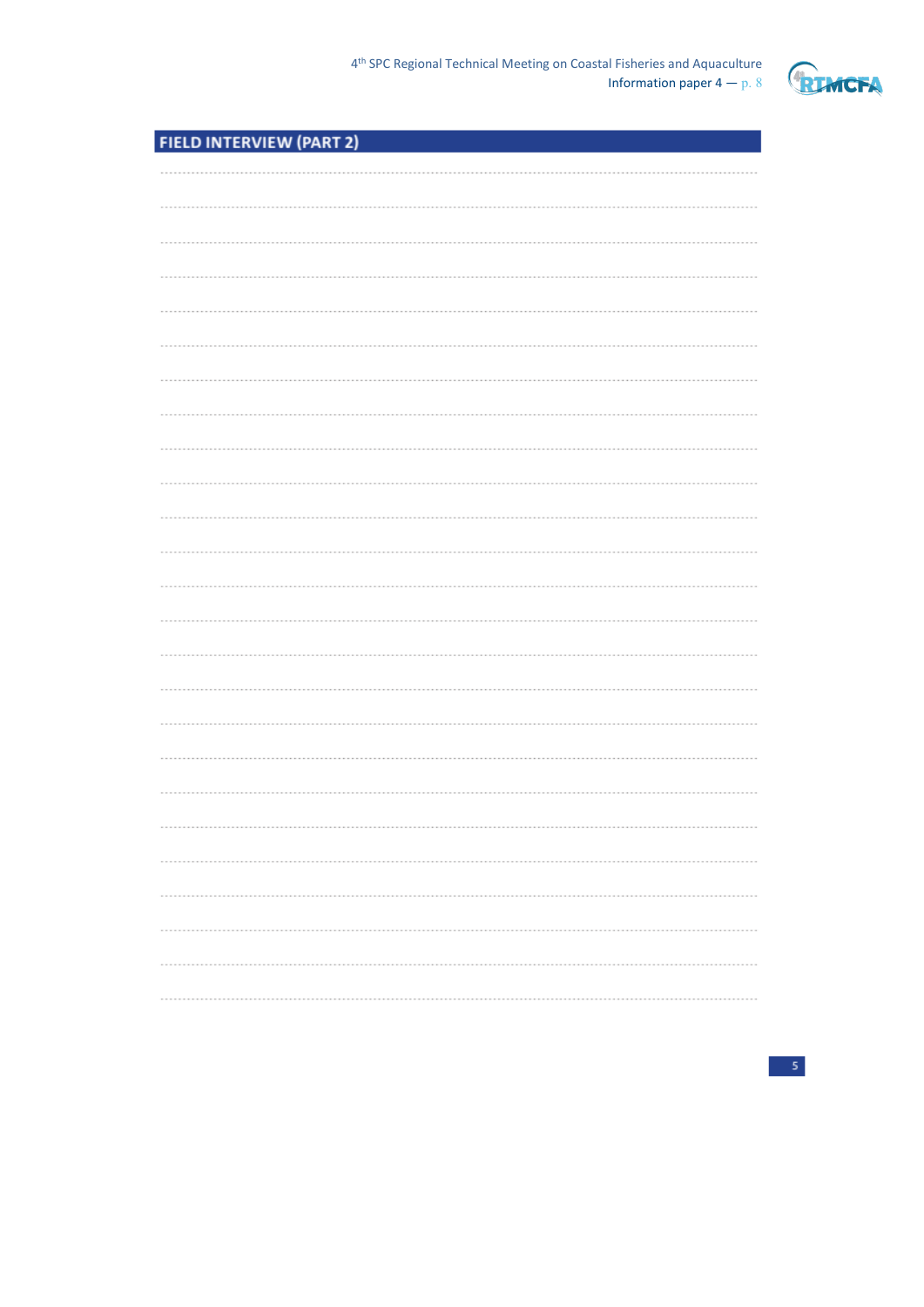

## **FIELD INTERVIEW (PART 2)**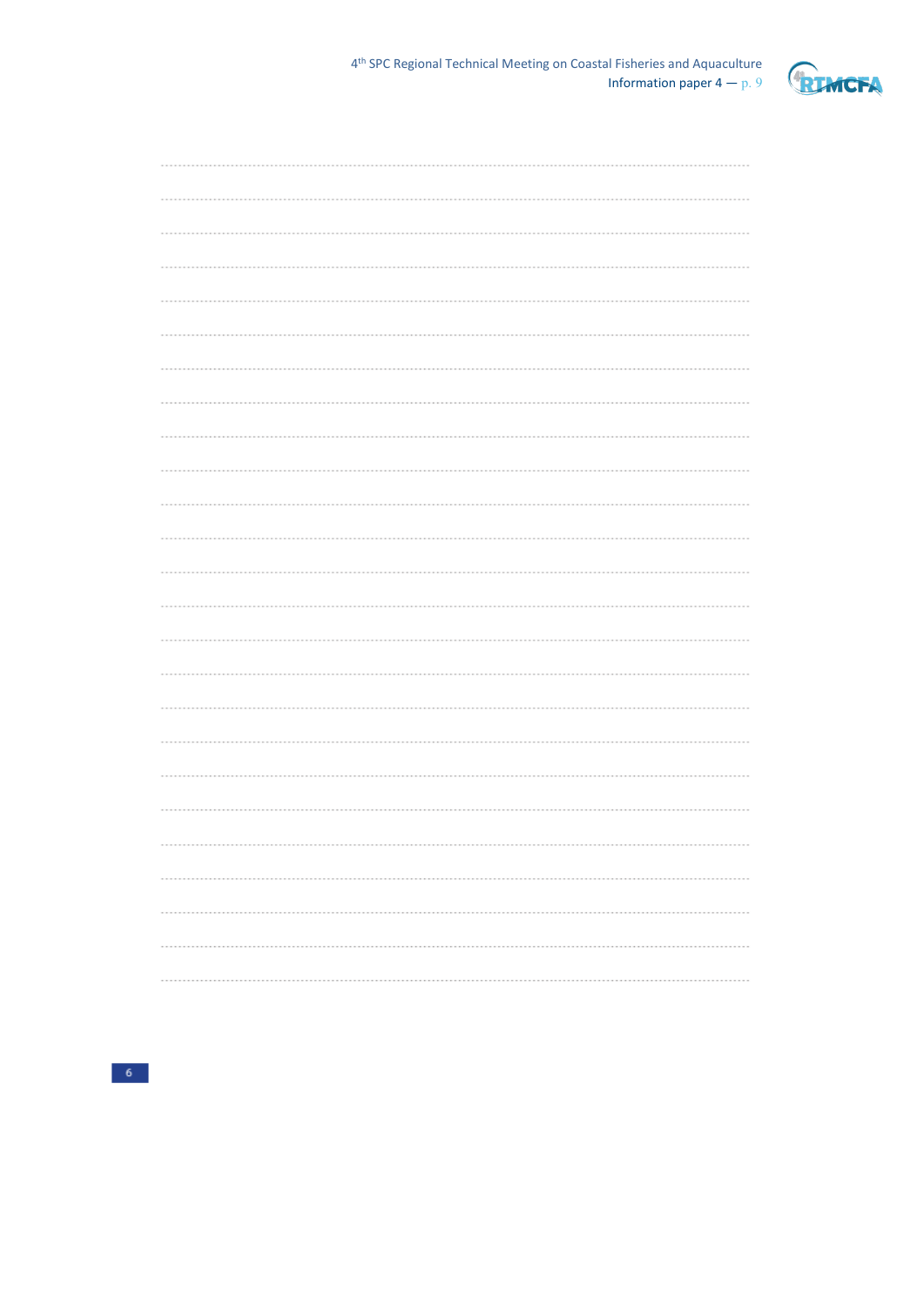

| <b>CONTRACTOR</b> |
|-------------------|
|                   |
|                   |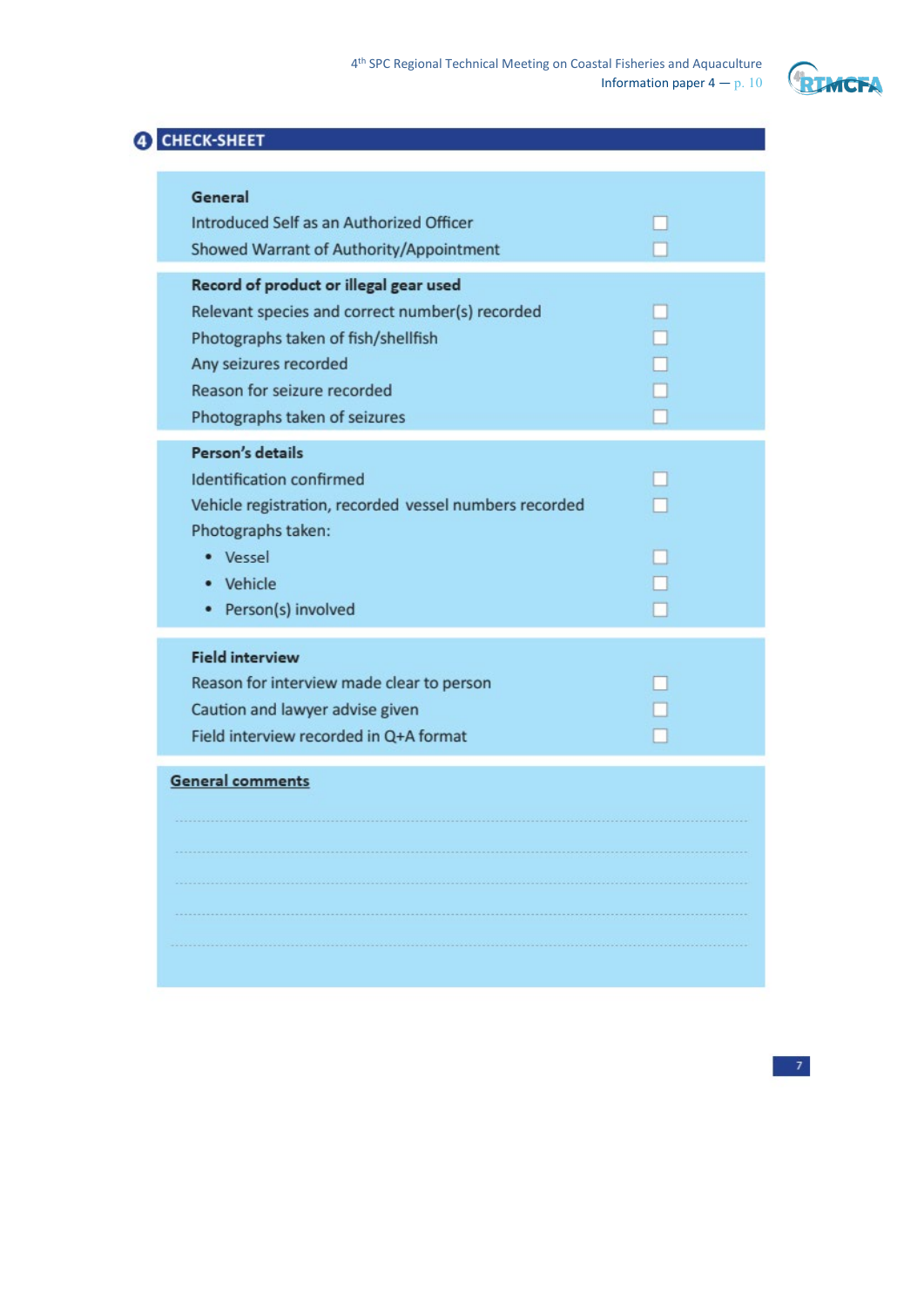

## 4 CHECK-SHEET

| General<br>Introduced Self as an Authorized Officer<br>Showed Warrant of Authority/Appointment                                                                                                                            |  |
|---------------------------------------------------------------------------------------------------------------------------------------------------------------------------------------------------------------------------|--|
| Record of product or illegal gear used<br>Relevant species and correct number(s) recorded<br>Photographs taken of fish/shellfish<br>Any seizures recorded<br>Reason for seizure recorded<br>Photographs taken of seizures |  |
| Person's details<br>Identification confirmed<br>Vehicle registration, recorded vessel numbers recorded<br>Photographs taken:<br>• Vessel<br>• Vehicle<br>• Person(s) involved                                             |  |
| <b>Field interview</b><br>Reason for interview made clear to person<br>Caution and lawyer advise given<br>Field interview recorded in Q+A format                                                                          |  |
| <b>General comments</b>                                                                                                                                                                                                   |  |